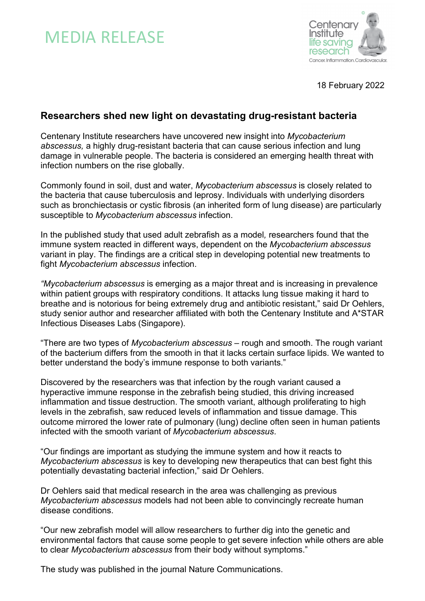# MEDIA RELEASE



18 February 2022

## **Researchers shed new light on devastating drug-resistant bacteria**

Centenary Institute researchers have uncovered new insight into *Mycobacterium abscessus,* a highly drug-resistant bacteria that can cause serious infection and lung damage in vulnerable people. The bacteria is considered an emerging health threat with infection numbers on the rise globally.

Commonly found in soil, dust and water, *Mycobacterium abscessus* is closely related to the bacteria that cause tuberculosis and leprosy. Individuals with underlying disorders such as bronchiectasis or cystic fibrosis (an inherited form of lung disease) are particularly susceptible to *Mycobacterium abscessus* infection.

In the published study that used adult zebrafish as a model*,* researchers found that the immune system reacted in different ways, dependent on the *Mycobacterium abscessus* variant in play. The findings are a critical step in developing potential new treatments to fight *Mycobacterium abscessus* infection.

*"Mycobacterium abscessus* is emerging as a major threat and is increasing in prevalence within patient groups with respiratory conditions. It attacks lung tissue making it hard to breathe and is notorious for being extremely drug and antibiotic resistant," said Dr Oehlers, study senior author and researcher affiliated with both the Centenary Institute and A\*STAR Infectious Diseases Labs (Singapore).

"There are two types of *Mycobacterium abscessus* – rough and smooth. The rough variant of the bacterium differs from the smooth in that it lacks certain surface lipids. We wanted to better understand the body's immune response to both variants."

Discovered by the researchers was that infection by the rough variant caused a hyperactive immune response in the zebrafish being studied, this driving increased inflammation and tissue destruction. The smooth variant, although proliferating to high levels in the zebrafish, saw reduced levels of inflammation and tissue damage. This outcome mirrored the lower rate of pulmonary (lung) decline often seen in human patients infected with the smooth variant of *Mycobacterium abscessus*.

"Our findings are important as studying the immune system and how it reacts to *Mycobacterium abscessus* is key to developing new therapeutics that can best fight this potentially devastating bacterial infection," said Dr Oehlers.

Dr Oehlers said that medical research in the area was challenging as previous *Mycobacterium abscessus* models had not been able to convincingly recreate human disease conditions.

"Our new zebrafish model will allow researchers to further dig into the genetic and environmental factors that cause some people to get severe infection while others are able to clear *Mycobacterium abscessus* from their body without symptoms."

The study was published in the journal Nature Communications.